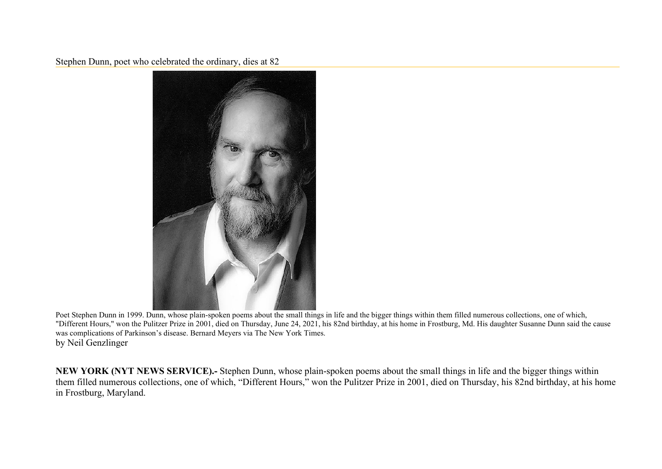Stephen Dunn, poet who celebrated the ordinary, dies at 82



Poet Stephen Dunn in 1999. Dunn, whose plain-spoken poems about the small things in life and the bigger things within them filled numerous collections, one of which, "Different Hours," won the Pulitzer Prize in 2001, died on Thursday, June 24, 2021, his 82nd birthday, at his home in Frostburg, Md. His daughter Susanne Dunn said the cause was complications of Parkinson's disease. Bernard Meyers via The New York Times. by Neil Genzlinger

**NEW YORK (NYT NEWS SERVICE).-** Stephen Dunn, whose plain-spoken poems about the small things in life and the bigger things within them filled numerous collections, one of which, "Different Hours," won the Pulitzer Prize in 2001, died on Thursday, his 82nd birthday, at his home in Frostburg, Maryland.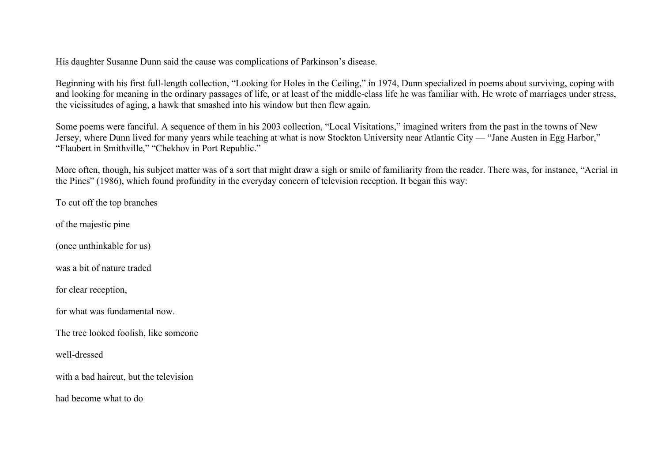His daughter Susanne Dunn said the cause was complications of Parkinson's disease.

Beginning with his first full-length collection, "Looking for Holes in the Ceiling," in 1974, Dunn specialized in poems about surviving, coping with and looking for meaning in the ordinary passages of life, or at least of the middle-class life he was familiar with. He wrote of marriages under stress, the vicissitudes of aging, a hawk that smashed into his window but then flew again.

Some poems were fanciful. A sequence of them in his 2003 collection, "Local Visitations," imagined writers from the past in the towns of New Jersey, where Dunn lived for many years while teaching at what is now Stockton University near Atlantic City — "Jane Austen in Egg Harbor," "Flaubert in Smithville," "Chekhov in Port Republic."

More often, though, his subject matter was of a sort that might draw a sigh or smile of familiarity from the reader. There was, for instance, "Aerial in the Pines" (1986), which found profundity in the everyday concern of television reception. It began this way:

To cut off the top branches

of the majestic pine

(once unthinkable for us)

was a bit of nature traded

for clear reception,

for what was fundamental now.

The tree looked foolish, like someone

well-dressed

with a bad haircut, but the television

had become what to do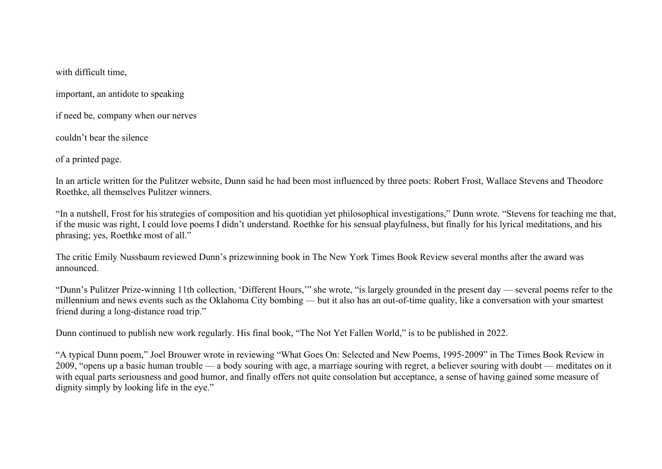with difficult time,

important, an antidote to speaking

if need be, company when our nerves

couldn't bear the silence

of a printed page.

In an article written for the Pulitzer website, Dunn said he had been most influenced by three poets: Robert Frost, Wallace Stevens and Theodore Roethke, all themselves Pulitzer winners.

"In a nutshell, Frost for his strategies of composition and his quotidian yet philosophical investigations," Dunn wrote. "Stevens for teaching me that, if the music was right, I could love poems I didn't understand. Roethke for his sensual playfulness, but finally for his lyrical meditations, and his phrasing; yes, Roethke most of all."

The critic Emily Nussbaum reviewed Dunn's prizewinning book in The New York Times Book Review several months after the award was announced.

"Dunn's Pulitzer Prize-winning 11th collection, 'Different Hours,'" she wrote, "is largely grounded in the present day — several poems refer to the millennium and news events such as the Oklahoma City bombing — but it also has an out-of-time quality, like a conversation with your smartest friend during a long-distance road trip."

Dunn continued to publish new work regularly. His final book, "The Not Yet Fallen World," is to be published in 2022.

"A typical Dunn poem," Joel Brouwer wrote in reviewing "What Goes On: Selected and New Poems, 1995-2009" in The Times Book Review in 2009, "opens up a basic human trouble — a body souring with age, a marriage souring with regret, a believer souring with doubt — meditates on it with equal parts seriousness and good humor, and finally offers not quite consolation but acceptance, a sense of having gained some measure of dignity simply by looking life in the eye."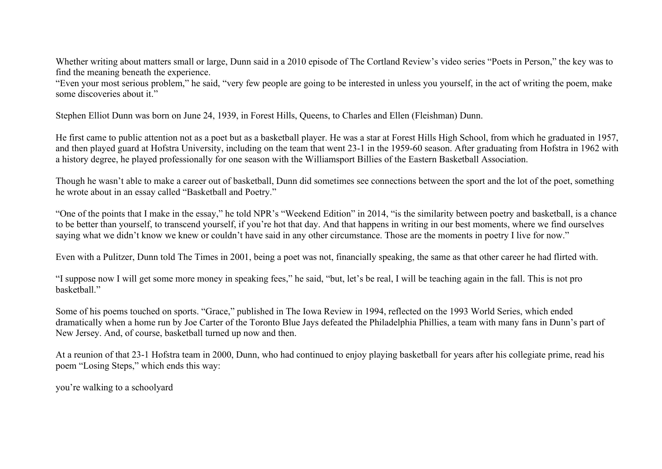Whether writing about matters small or large, Dunn said in a 2010 episode of The Cortland Review's video series "Poets in Person," the key was to find the meaning beneath the experience.

"Even your most serious problem," he said, "very few people are going to be interested in unless you yourself, in the act of writing the poem, make some discoveries about it."

Stephen Elliot Dunn was born on June 24, 1939, in Forest Hills, Queens, to Charles and Ellen (Fleishman) Dunn.

He first came to public attention not as a poet but as a basketball player. He was a star at Forest Hills High School, from which he graduated in 1957, and then played guard at Hofstra University, including on the team that went 23-1 in the 1959-60 season. After graduating from Hofstra in 1962 with a history degree, he played professionally for one season with the Williamsport Billies of the Eastern Basketball Association.

Though he wasn't able to make a career out of basketball, Dunn did sometimes see connections between the sport and the lot of the poet, something he wrote about in an essay called "Basketball and Poetry."

"One of the points that I make in the essay," he told NPR's "Weekend Edition" in 2014, "is the similarity between poetry and basketball, is a chance to be better than yourself, to transcend yourself, if you're hot that day. And that happens in writing in our best moments, where we find ourselves saying what we didn't know we knew or couldn't have said in any other circumstance. Those are the moments in poetry I live for now."

Even with a Pulitzer, Dunn told The Times in 2001, being a poet was not, financially speaking, the same as that other career he had flirted with.

"I suppose now I will get some more money in speaking fees," he said, "but, let's be real, I will be teaching again in the fall. This is not pro basketball."

Some of his poems touched on sports. "Grace," published in The Iowa Review in 1994, reflected on the 1993 World Series, which ended dramatically when a home run by Joe Carter of the Toronto Blue Jays defeated the Philadelphia Phillies, a team with many fans in Dunn's part of New Jersey. And, of course, basketball turned up now and then.

At a reunion of that 23-1 Hofstra team in 2000, Dunn, who had continued to enjoy playing basketball for years after his collegiate prime, read his poem "Losing Steps," which ends this way:

you're walking to a schoolyard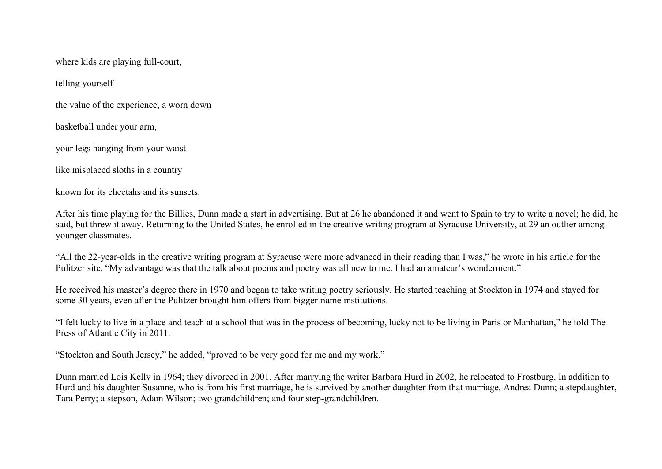where kids are playing full-court,

telling yourself

the value of the experience, a worn down

basketball under your arm,

your legs hanging from your waist

like misplaced sloths in a country

known for its cheetahs and its sunsets.

After his time playing for the Billies, Dunn made a start in advertising. But at 26 he abandoned it and went to Spain to try to write a novel; he did, he said, but threw it away. Returning to the United States, he enrolled in the creative writing program at Syracuse University, at 29 an outlier among younger classmates.

"All the 22-year-olds in the creative writing program at Syracuse were more advanced in their reading than I was," he wrote in his article for the Pulitzer site. "My advantage was that the talk about poems and poetry was all new to me. I had an amateur's wonderment."

He received his master's degree there in 1970 and began to take writing poetry seriously. He started teaching at Stockton in 1974 and stayed for some 30 years, even after the Pulitzer brought him offers from bigger-name institutions.

"I felt lucky to live in a place and teach at a school that was in the process of becoming, lucky not to be living in Paris or Manhattan," he told The Press of Atlantic City in 2011.

"Stockton and South Jersey," he added, "proved to be very good for me and my work."

Dunn married Lois Kelly in 1964; they divorced in 2001. After marrying the writer Barbara Hurd in 2002, he relocated to Frostburg. In addition to Hurd and his daughter Susanne, who is from his first marriage, he is survived by another daughter from that marriage, Andrea Dunn; a stepdaughter, Tara Perry; a stepson, Adam Wilson; two grandchildren; and four step-grandchildren.